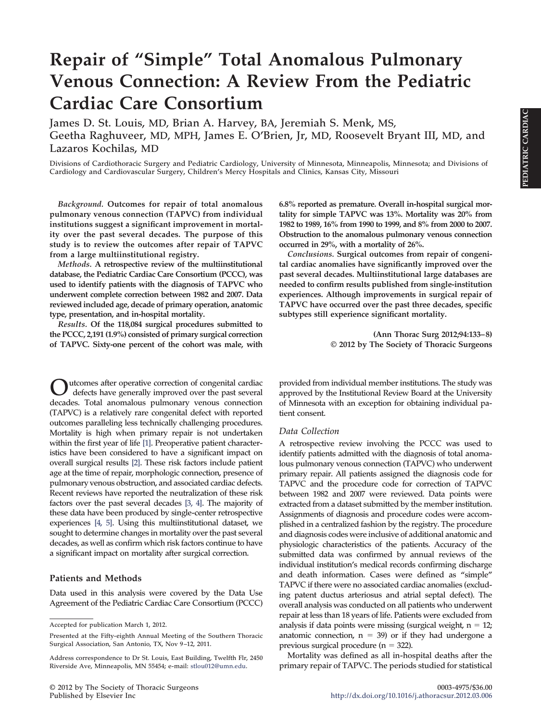# **Repair of "Simple" Total Anomalous Pulmonary Venous Connection: A Review From the Pediatric Cardiac Care Consortium**

**James D. St. Louis, MD, Brian A. Harvey, BA, Jeremiah S. Menk, MS, Geetha Raghuveer, MD, MPH, James E. O'Brien, Jr, MD, Roosevelt Bryant III, MD, and Lazaros Kochilas, MD**

**Divisions of Cardiothoracic Surgery and Pediatric Cardiology, University of Minnesota, Minneapolis, Minnesota; and Divisions of Cardiology and Cardiovascular Surgery, Children's Mercy Hospitals and Clinics, Kansas City, Missouri**

*Background.* **Outcomes for repair of total anomalous pulmonary venous connection (TAPVC) from individual institutions suggest a significant improvement in mortality over the past several decades. The purpose of this study is to review the outcomes after repair of TAPVC from a large multiinstitutional registry.**

*Methods.* **A retrospective review of the multiinstitutional database, the Pediatric Cardiac Care Consortium (PCCC), was used to identify patients with the diagnosis of TAPVC who underwent complete correction between 1982 and 2007. Data reviewed included age, decade of primary operation, anatomic type, presentation, and in-hospital mortality.**

*Results.* **Of the 118,084 surgical procedures submitted to the PCCC, 2,191 (1.9%) consisted of primary surgical correction of TAPVC. Sixty-one percent of the cohort was male, with**

**Outcomes after operative correction of congenital cardiac defects have generally improved over the past several decades. Total anomalous pulmonary venous connection (TAPVC) is a relatively rare congenital defect with reported outcomes paralleling less technically challenging procedures. Mortality is high when primary repair is not undertaken within the first year of life [\[1\].](#page-4-0) Preoperative patient characteristics have been considered to have a significant impact on overall surgical results [\[2\].](#page-4-1) These risk factors include patient age at the time of repair, morphologic connection, presence of pulmonary venous obstruction, and associated cardiac defects. Recent reviews have reported the neutralization of these risk factors over the past several decades [\[3, 4\].](#page-4-2) The majority of these data have been produced by single-center retrospective experiences [\[4, 5\].](#page-4-3) Using this multiinstitutional dataset, we sought to determine changes in mortality over the past several decades, as well as confirm which risk factors continue to have a significant impact on mortality after surgical correction.**

#### **Patients and Methods**

**Data used in this analysis were covered by the Data Use Agreement of the Pediatric Cardiac Care Consortium (PCCC)** **6.8% reported as premature. Overall in-hospital surgical mortality for simple TAPVC was 13%. Mortality was 20% from 1982 to 1989, 16% from 1990 to 1999, and 8% from 2000 to 2007. Obstruction to the anomalous pulmonary venous connection occurred in 29%, with a mortality of 26%.**

*Conclusions.* **Surgical outcomes from repair of congenital cardiac anomalies have significantly improved over the past several decades. Multiinstitutional large databases are needed to confirm results published from single-institution experiences. Although improvements in surgical repair of TAPVC have occurred over the past three decades, specific subtypes still experience significant mortality.**

> **(Ann Thorac Surg 2012;94:133–8) © 2012 by The Society of Thoracic Surgeons**

**provided from individual member institutions. The study was approved by the Institutional Review Board at the University of Minnesota with an exception for obtaining individual patient consent.**

#### *Data Collection*

**A retrospective review involving the PCCC was used to identify patients admitted with the diagnosis of total anomalous pulmonary venous connection (TAPVC) who underwent primary repair. All patients assigned the diagnosis code for TAPVC and the procedure code for correction of TAPVC between 1982 and 2007 were reviewed. Data points were extracted from a dataset submitted by the member institution. Assignments of diagnosis and procedure codes were accomplished in a centralized fashion by the registry. The procedure and diagnosis codes were inclusive of additional anatomic and physiologic characteristics of the patients. Accuracy of the submitted data was confirmed by annual reviews of the individual institution's medical records confirming discharge and death information. Cases were defined as "simple" TAPVC if there were no associated cardiac anomalies (excluding patent ductus arteriosus and atrial septal defect). The overall analysis was conducted on all patients who underwent repair at less than 18 years of life. Patients were excluded from** analysis if data points were missing (surgical weight,  $n = 12$ ; anatomic connection,  $n = 39$ ) or if they had undergone a previous surgical procedure  $(n = 322)$ .

**Mortality was defined as all in-hospital deaths after the primary repair of TAPVC. The periods studied for statistical**

**Accepted for publication March 1, 2012.**

**Presented at the Fifty-eighth Annual Meeting of the Southern Thoracic Surgical Association, San Antonio, TX, Nov 9–12, 2011.**

**Address correspondence to Dr St. Louis, East Building, Twelfth Flr, 2450 Riverside Ave, Minneapolis, MN 55454; e-mail: [stlou012@umn.edu.](mailto:stlou012@umn.edu)**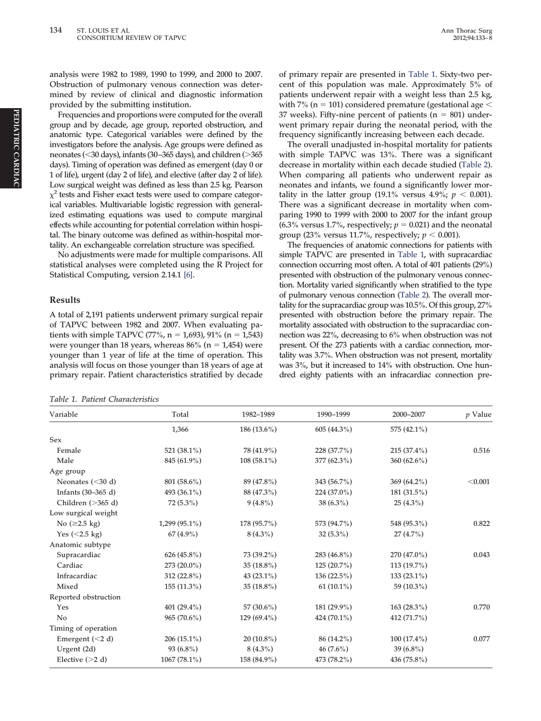**analysis were 1982 to 1989, 1990 to 1999, and 2000 to 2007. Obstruction of pulmonary venous connection was determined by review of clinical and diagnostic information provided by the submitting institution.**

**Frequencies and proportions were computed for the overall group and by decade, age group, reported obstruction, and anatomic type. Categorical variables were defined by the investigators before the analysis. Age groups were defined as neonates (**-**30 days), infants (30–365 days), and children (365 days). Timing of operation was defined as emergent (day 0 or 1 of life), urgent (day 2 of life), and elective (after day 2 of life). Low surgical weight was defined as less than 2.5 kg. Pearson**  $\chi^2$  tests and Fisher exact tests were used to compare categor**ical variables. Multivariable logistic regression with generalized estimating equations was used to compute marginal effects while accounting for potential correlation within hospital. The binary outcome was defined as within-hospital mortality. An exchangeable correlation structure was specified.**

**No adjustments were made for multiple comparisons. All statistical analyses were completed using the R Project for Statistical Computing, version 2.14.1 [\[6\].](#page-4-4)**

#### **Results**

**A total of 2,191 patients underwent primary surgical repair of TAPVC between 1982 and 2007. When evaluating patients with simple TAPVC (77%, n 1,693), 91% (n 1,543)** were younger than 18 years, whereas  $86\%$  ( $n = 1,454$ ) were **younger than 1 year of life at the time of operation. This analysis will focus on those younger than 18 years of age at primary repair. Patient characteristics stratified by decade**

<span id="page-1-0"></span>*Table 1. Patient Characteristics*

**of primary repair are presented in [Table 1.](#page-1-0) Sixty-two percent of this population was male. Approximately 5% of patients underwent repair with a weight less than 2.5 kg,** with 7% (n = 101) considered premature (gestational age  $<$ 37 weeks). Fifty-nine percent of patients (n = 801) under**went primary repair during the neonatal period, with the frequency significantly increasing between each decade.**

**The overall unadjusted in-hospital mortality for patients with simple TAPVC was 13%. There was a significant decrease in mortality within each decade studied [\(Table 2\)](#page-2-0). When comparing all patients who underwent repair as neonates and infants, we found a significantly lower mor-** $\text{tality in the latter group (19.1\% versus 4.9\%; } p < 0.001\text{).}$ **There was a significant decrease in mortality when comparing 1990 to 1999 with 2000 to 2007 for the infant group** (6.3% versus 1.7%, respectively;  $p = 0.021$ ) and the neonatal group (23% versus 11.7%, respectively;  $p < 0.001$ ).

**The frequencies of anatomic connections for patients with simple TAPVC are presented in [Table 1,](#page-1-0) with supracardiac connection occurring most often. A total of 401 patients (29%) presented with obstruction of the pulmonary venous connection. Mortality varied significantly when stratified to the type of pulmonary venous connection [\(Table 2\)](#page-2-0). The overall mortality for the supracardiac group was 10.5%. Of this group, 27% presented with obstruction before the primary repair. The mortality associated with obstruction to the supracardiac connection was 22%, decreasing to 6% when obstruction was not present. Of the 273 patients with a cardiac connection, mortality was 3.7%. When obstruction was not present, mortality was 3%, but it increased to 14% with obstruction. One hundred eighty patients with an infracardiac connection pre-**

| Variable                | Total           | 1982-1989     | 1990-1999      | 2000-2007      | $p$ Value |
|-------------------------|-----------------|---------------|----------------|----------------|-----------|
|                         | 1,366           | $186(13.6\%)$ | $605(44.3\%)$  | 575 (42.1%)    |           |
| Sex                     |                 |               |                |                |           |
| Female                  | 521 $(38.1\%)$  | 78 (41.9%)    | $228(37.7\%)$  | $215(37.4\%)$  | 0.516     |
| Male                    | 845 (61.9%)     | $108(58.1\%)$ | $377(62.3\%)$  | 360 $(62.6\%)$ |           |
| Age group               |                 |               |                |                |           |
| Neonates $(<30 d)$      | 801 (58.6%)     | 89 (47.8%)    | 343 (56.7%)    | 369 $(64.2\%)$ | < 0.001   |
| Infants $(30-365 d)$    | 493 (36.1%)     | 88 (47.3%)    | $224(37.0\%)$  | $181(31.5\%)$  |           |
| Children (>365 d)       | $72(5.3\%)$     | $9(4.8\%)$    | $38(6.3\%)$    | $25(4.3\%)$    |           |
| Low surgical weight     |                 |               |                |                |           |
| No (≥2.5 kg)            | $1,299(95.1\%)$ | 178 (95.7%)   | 573 (94.7%)    | 548 (95.3%)    | 0.822     |
| Yes $(<2.5 \text{ kg})$ | 67 $(4.9\%)$    | $8(4.3\%)$    | $32(5.3\%)$    | $27(4.7\%)$    |           |
| Anatomic subtype        |                 |               |                |                |           |
| Supracardiac            | 626 $(45.8\%)$  | 73 (39.2%)    | 283 $(46.8\%)$ | $270(47.0\%)$  | 0.043     |
| Cardiac                 | 273 $(20.0\%)$  | $35(18.8\%)$  | $125(20.7\%)$  | $113(19.7\%)$  |           |
| Infracardiac            | $312(22.8\%)$   | 43 $(23.1\%)$ | $136(22.5\%)$  | $133(23.1\%)$  |           |
| Mixed                   | $155(11.3\%)$   | $35(18.8\%)$  | 61 $(10.1\%)$  | 59 (10.3%)     |           |
| Reported obstruction    |                 |               |                |                |           |
| Yes                     | 401 $(29.4\%)$  | 57 (30.6%)    | 181 (29.9%)    | 163 $(28.3\%)$ | 0.770     |
| No                      | $965(70.6\%)$   | $129(69.4\%)$ | 424 $(70.1\%)$ | 412 (71.7%)    |           |
| Timing of operation     |                 |               |                |                |           |
| Emergent $(< 2 d)$      | $206(15.1\%)$   | $20(10.8\%)$  | 86 (14.2%)     | $100(17.4\%)$  | 0.077     |
| Urgent (2d)             | $93(6.8\%)$     | $8(4.3\%)$    | $46(7.6\%)$    | 39 $(6.8\%)$   |           |
| Elective $(>2 d)$       | $1067(78.1\%)$  | 158 (84.9%)   | 473 (78.2%)    | 436 (75.8%)    |           |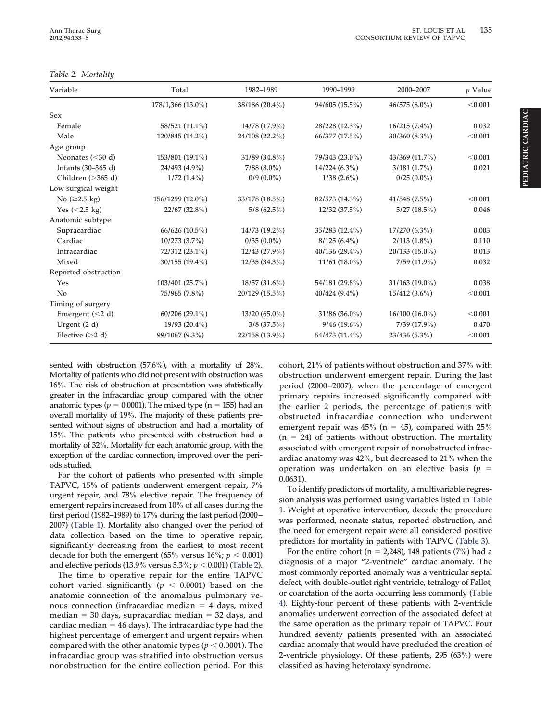### <span id="page-2-0"></span>*Table 2. Mortality*

| Variable             | Total              | 1982-1989       | 1990-1999       | 2000-2007        | $p$ Value |
|----------------------|--------------------|-----------------|-----------------|------------------|-----------|
|                      | 178/1,366 (13.0%)  | 38/186 (20.4%)  | 94/605 (15.5%)  | $46/575(8.0\%)$  | < 0.001   |
| Sex                  |                    |                 |                 |                  |           |
| Female               | 58/521 (11.1%)     | 14/78 (17.9%)   | 28/228 (12.3%)  | $16/215(7.4\%)$  | 0.032     |
| Male                 | 120/845 (14.2%)    | 24/108 (22.2%)  | 66/377 (17.5%)  | 30/360 (8.3%)    | < 0.001   |
| Age group            |                    |                 |                 |                  |           |
| Neonates $(<30 d)$   | 153/801 (19.1%)    | 31/89 (34.8%)   | 79/343 (23.0%)  | 43/369 (11.7%)   | < 0.001   |
| Infants (30–365 d)   | 24/493 (4.9%)      | $7/88$ (8.0%)   | $14/224(6.3\%)$ | $3/181(1.7\%)$   | 0.021     |
| Children $($ >365 d) | $1/72(1.4\%)$      | $0/9(0.0\%)$    | $1/38(2.6\%)$   | $0/25(0.0\%)$    |           |
| Low surgical weight  |                    |                 |                 |                  |           |
| No (≥2.5 kg)         | 156/1299 (12.0%)   | 33/178 (18.5%)  | 82/573 (14.3%)  | 41/548(7.5%)     | < 0.001   |
| Yes $(<2.5$ kg)      | 22/67(32.8%)       | $5/8(62.5\%)$   | 12/32(37.5%)    | $5/27(18.5\%)$   | 0.046     |
| Anatomic subtype     |                    |                 |                 |                  |           |
| Supracardiac         | $66/626$ (10.5%)   | 14/73 (19.2%)   | 35/283 (12.4%)  | $17/270(6.3\%)$  | 0.003     |
| Cardiac              | $10/273$ $(3.7\%)$ | $0/35(0.0\%)$   | $8/125(6.4\%)$  | $2/113(1.8\%)$   | 0.110     |
| Infracardiac         | 72/312 (23.1%)     | $12/43(27.9\%)$ | 40/136 (29.4%)  | $20/133(15.0\%)$ | 0.013     |
| Mixed                | 30/155 (19.4%)     | $12/35(34.3\%)$ | $11/61$ (18.0%) | $7/59(11.9\%)$   | 0.032     |
| Reported obstruction |                    |                 |                 |                  |           |
| Yes                  | 103/401 (25.7%)    | 18/57 (31.6%)   | 54/181 (29.8%)  | 31/163 (19.0%)   | 0.038     |
| No                   | 75/965 (7.8%)      | 20/129 (15.5%)  | $40/424(9.4\%)$ | $15/412(3.6\%)$  | < 0.001   |
| Timing of surgery    |                    |                 |                 |                  |           |
| Emergent $(< 2 d)$   | $60/206(29.1\%)$   | $13/20(65.0\%)$ | $31/86(36.0\%)$ | $16/100(16.0\%)$ | < 0.001   |
| Urgent $(2 d)$       | $19/93(20.4\%)$    | $3/8$ (37.5%)   | $9/46(19.6\%)$  | 7/39 (17.9%)     | 0.470     |
| Elective $(>2 d)$    | 99/1067 (9.3%)     | 22/158 (13.9%)  | 54/473 (11.4%)  | 23/436 (5.3%)    | < 0.001   |

**sented with obstruction (57.6%), with a mortality of 28%. Mortality of patients who did not present with obstruction was 16%. The risk of obstruction at presentation was statistically greater in the infracardiac group compared with the other** anatomic types ( $p = 0.0001$ ). The mixed type ( $n = 155$ ) had an **overall mortality of 19%. The majority of these patients presented without signs of obstruction and had a mortality of 15%. The patients who presented with obstruction had a mortality of 32%. Mortality for each anatomic group, with the exception of the cardiac connection, improved over the periods studied.**

**For the cohort of patients who presented with simple TAPVC, 15% of patients underwent emergent repair, 7% urgent repair, and 78% elective repair. The frequency of emergent repairs increased from 10% of all cases during the first period (1982–1989) to 17% during the last period (2000– 2007) [\(Table 1\)](#page-1-0). Mortality also changed over the period of data collection based on the time to operative repair, significantly decreasing from the earliest to most recent** decade for both the emergent (65% versus  $16\%$ ;  $p < 0.001$ ) **and elective periods (13.9% versus 5.3%;** *p* - **0.001) [\(Table 2\)](#page-2-0).**

**The time to operative repair for the entire TAPVC** cohort varied significantly ( $p < 0.0001$ ) based on the **anatomic connection of the anomalous pulmonary venous connection (infracardiac median 4 days, mixed median 30 days, supracardiac median 32 days, and cardiac median 46 days). The infracardiac type had the highest percentage of emergent and urgent repairs when** compared with the other anatomic types ( $p < 0.0001$ ). The **infracardiac group was stratified into obstruction versus nonobstruction for the entire collection period. For this** **cohort, 21% of patients without obstruction and 37% with obstruction underwent emergent repair. During the last period (2000–2007), when the percentage of emergent primary repairs increased significantly compared with the earlier 2 periods, the percentage of patients with obstructed infracardiac connection who underwent** emergent repair was  $45\%$  (n =  $45$ ), compared with  $25\%$ **(n 24) of patients without obstruction. The mortality associated with emergent repair of nonobstructed infracardiac anatomy was 42%, but decreased to 21% when the operation** was undertaken on an elective basis ( $p =$ **0.0631).**

**To identify predictors of mortality, a multivariable regression analysis was performed using variables listed in [Table](#page-1-0) [1.](#page-1-0) Weight at operative intervention, decade the procedure was performed, neonate status, reported obstruction, and the need for emergent repair were all considered positive predictors for mortality in patients with TAPVC [\(Table 3\)](#page-3-0).**

**For the entire cohort (n 2,248), 148 patients (7%) had a diagnosis of a major "2-ventricle" cardiac anomaly. The most commonly reported anomaly was a ventricular septal defect, with double-outlet right ventricle, tetralogy of Fallot, or coarctation of the aorta occurring less commonly [\(Table](#page-3-1) [4\)](#page-3-1). Eighty-four percent of these patients with 2-ventricle anomalies underwent correction of the associated defect at the same operation as the primary repair of TAPVC. Four hundred seventy patients presented with an associated cardiac anomaly that would have precluded the creation of 2-ventricle physiology. Of these patients, 295 (63%) were classified as having heterotaxy syndrome.**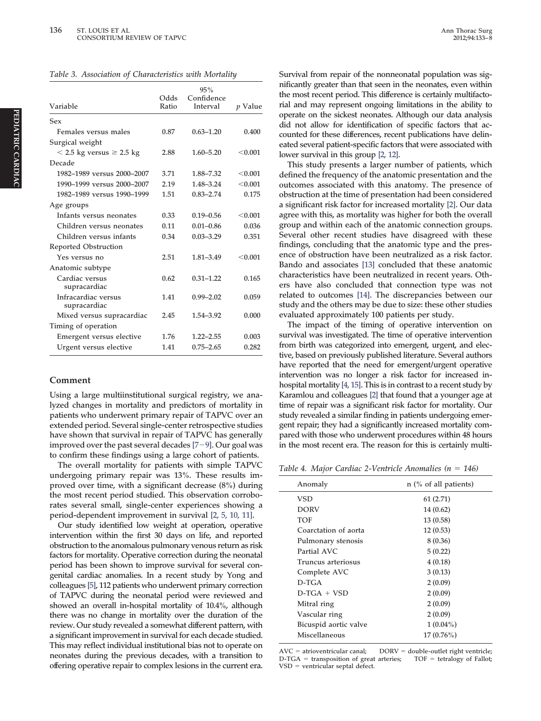<span id="page-3-0"></span>

|  | Table 3. Association of Characteristics with Mortality |  |
|--|--------------------------------------------------------|--|
|  |                                                        |  |

| Variable                            | Odds<br>Ratio | 95%<br>Confidence<br>Interval | <i>p</i> Value |
|-------------------------------------|---------------|-------------------------------|----------------|
| Sex                                 |               |                               |                |
| Females versus males                | 0.87          | $0.63 - 1.20$                 | 0.400          |
| Surgical weight                     |               |                               |                |
| $<$ 2.5 kg versus $\geq$ 2.5 kg     | 2.88          | $1.60 - 5.20$                 | < 0.001        |
| Decade                              |               |                               |                |
| 1982-1989 versus 2000-2007          | 3.71          | 1.88-7.32                     | < 0.001        |
| 1990-1999 versus 2000-2007          | 2.19          | 1.48-3.24                     | < 0.001        |
| 1982-1989 versus 1990-1999          | 1.51          | $0.83 - 2.74$                 | 0.175          |
| Age groups                          |               |                               |                |
| Infants versus neonates             | 0.33          | $0.19 - 0.56$                 | < 0.001        |
| Children versus neonates            | 0.11          | $0.01 - 0.86$                 | 0.036          |
| Children versus infants             | 0.34          | $0.03 - 3.29$                 | 0.351          |
| Reported Obstruction                |               |                               |                |
| Yes versus no                       | 2.51          | $1.81 - 3.49$                 | < 0.001        |
| Anatomic subtype                    |               |                               |                |
| Cardiac versus<br>supracardiac      | 0.62          | $0.31 - 1.22$                 | 0.165          |
| Infracardiac versus<br>supracardiac | 1.41          | $0.99 - 2.02$                 | 0.059          |
| Mixed versus supracardiac           | 2.45          | 1.54-3.92                     | 0.000          |
| Timing of operation                 |               |                               |                |
| Emergent versus elective            | 1.76          | $1.22 - 2.55$                 | 0.003          |
| Urgent versus elective              | 1.41          | $0.75 - 2.65$                 | 0.282          |

### **Comment**

**Using a large multiinstitutional surgical registry, we analyzed changes in mortality and predictors of mortality in patients who underwent primary repair of TAPVC over an extended period. Several single-center retrospective studies have shown that survival in repair of TAPVC has generally improved over the past several decades [7[9\].](#page-4-5) Our goal was to confirm these findings using a large cohort of patients.**

**The overall mortality for patients with simple TAPVC undergoing primary repair was 13%. These results improved over time, with a significant decrease (8%) during the most recent period studied. This observation corroborates several small, single-center experiences showing a period-dependent improvement in survival [\[2, 5, 10, 11\].](#page-4-1)**

**Our study identified low weight at operation, operative intervention within the first 30 days on life, and reported obstruction to the anomalous pulmonary venous return as risk factors for mortality. Operative correction during the neonatal period has been shown to improve survival for several congenital cardiac anomalies. In a recent study by Yong and colleagues [\[5\],](#page-4-6) 112 patients who underwent primary correction of TAPVC during the neonatal period were reviewed and showed an overall in-hospital mortality of 10.4%, although there was no change in mortality over the duration of the review. Our study revealed a somewhat different pattern, with a significant improvement in survival for each decade studied. This may reflect individual institutional bias not to operate on neonates during the previous decades, with a transition to offering operative repair to complex lesions in the current era.** **Survival from repair of the nonneonatal population was significantly greater than that seen in the neonates, even within the most recent period. This difference is certainly multifactorial and may represent ongoing limitations in the ability to operate on the sickest neonates. Although our data analysis did not allow for identification of specific factors that accounted for these differences, recent publications have delineated several patient-specific factors that were associated with lower survival in this group [\[2, 12\].](#page-4-1)**

**This study presents a larger number of patients, which defined the frequency of the anatomic presentation and the outcomes associated with this anatomy. The presence of obstruction at the time of presentation had been considered a significant risk factor for increased mortality [\[2\].](#page-4-1) Our data agree with this, as mortality was higher for both the overall group and within each of the anatomic connection groups. Several other recent studies have disagreed with these findings, concluding that the anatomic type and the presence of obstruction have been neutralized as a risk factor. Bando and associates [\[13\]](#page-4-7) concluded that these anatomic characteristics have been neutralized in recent years. Others have also concluded that connection type was not related to outcomes [\[14\].](#page-4-8) The discrepancies between our study and the others may be due to size: these other studies evaluated approximately 100 patients per study.**

**The impact of the timing of operative intervention on survival was investigated. The time of operative intervention from birth was categorized into emergent, urgent, and elective, based on previously published literature. Several authors have reported that the need for emergent/urgent operative intervention was no longer a risk factor for increased inhospital mortality [\[4, 15\].](#page-4-3) This is in contrast to a recent study by Karamlou and colleagues [\[2\]](#page-4-1) that found that a younger age at time of repair was a significant risk factor for mortality. Our study revealed a similar finding in patients undergoing emergent repair; they had a significantly increased mortality compared with those who underwent procedures within 48 hours in the most recent era. The reason for this is certainly multi-**

<span id="page-3-1"></span>*Table 4. Major Cardiac 2-Ventricle Anomalies (n 146)*

| Anomaly               | $n$ (% of all patients) |
|-----------------------|-------------------------|
| VSD                   | 61(2.71)                |
| <b>DORV</b>           | 14 (0.62)               |
| TOF                   | 13 (0.58)               |
| Coarctation of aorta  | 12(0.53)                |
| Pulmonary stenosis    | 8 (0.36)                |
| Partial AVC           | 5(0.22)                 |
| Truncus arteriosus    | 4(0.18)                 |
| Complete AVC          | 3(0.13)                 |
| $D-TC1A$              | 2(0.09)                 |
| $D-TCA + VSD$         | 2(0.09)                 |
| Mitral ring           | 2(0.09)                 |
| Vascular ring         | 2(0.09)                 |
| Bicuspid aortic valve | $1(0.04\%)$             |
| Miscellaneous         | $17(0.76\%)$            |

AVC = atrioventricular canal; DORV = double-outlet right ventricle;<br>D-TGA = transposition of great arteries; TOF = tetralogy of Fallot; **D-TGA** = transposition of great arteries; **VSD ventricular septal defect.**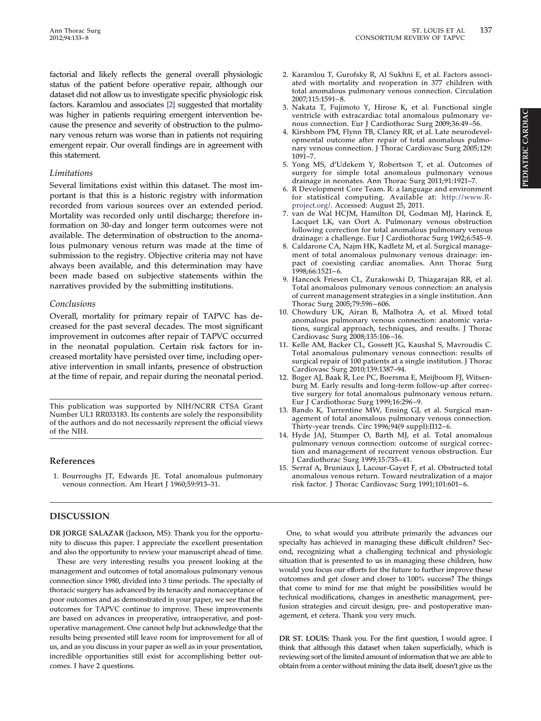**factorial and likely reflects the general overall physiologic status of the patient before operative repair, although our dataset did not allow us to investigate specific physiologic risk factors. Karamlou and associates [\[2\]](#page-4-1) suggested that mortality was higher in patients requiring emergent intervention because the presence and severity of obstruction to the pulmonary venous return was worse than in patients not requiring emergent repair. Our overall findings are in agreement with this statement.**

### *Limitations*

**Several limitations exist within this dataset. The most important is that this is a historic registry with information recorded from various sources over an extended period. Mortality was recorded only until discharge; therefore information on 30-day and longer term outcomes were not available. The determination of obstruction to the anomalous pulmonary venous return was made at the time of submission to the registry. Objective criteria may not have always been available, and this determination may have been made based on subjective statements within the narratives provided by the submitting institutions.**

# *Conclusions*

**Overall, mortality for primary repair of TAPVC has decreased for the past several decades. The most significant improvement in outcomes after repair of TAPVC occurred in the neonatal population. Certain risk factors for increased mortality have persisted over time, including operative intervention in small infants, presence of obstruction at the time of repair, and repair during the neonatal period.**

**This publication was supported by NIH/NCRR CTSA Grant Number UL1 RR033183. Its contents are solely the responsibility of the authors and do not necessarily represent the official views of the NIH.**

# <span id="page-4-0"></span>**References**

**1. Bourroughs JT, Edwards JE. Total anomalous pulmonary venous connection. Am Heart J 1960;59:913–31.**

# **DISCUSSION**

**DR JORGE SALAZAR (Jackson, MS): Thank you for the opportunity to discuss this paper. I appreciate the excellent presentation and also the opportunity to review your manuscript ahead of time.**

**These are very interesting results you present looking at the management and outcomes of total anomalous pulmonary venous connection since 1980, divided into 3 time periods. The specialty of thoracic surgery has advanced by its tenacity and nonacceptance of poor outcomes and as demonstrated in your paper, we see that the outcomes for TAPVC continue to improve. These improvements are based on advances in preoperative, intraoperative, and postoperative management. One cannot help but acknowledge that the results being presented still leave room for improvement for all of us, and as you discuss in your paper as well as in your presentation, incredible opportunities still exist for accomplishing better outcomes. I have 2 questions.**

- <span id="page-4-1"></span>**2. Karamlou T, Gurofsky R, Al Sukhni E, et al. Factors associated with mortality and reoperation in 377 children with total anomalous pulmonary venous connection. Circulation 2007;115:1591–8.**
- <span id="page-4-2"></span>**3. Nakata T, Fujimoto Y, Hirose K, et al. Functional single ventricle with extracardiac total anomalous pulmonary venous connection. Eur J Cardiothorac Surg 2009;36:49–56.**
- <span id="page-4-3"></span>**4. Kirshbom PM, Flynn TB, Clancy RR, et al. Late neurodevelopmental outcome after repair of total anomalous pulmonary venous connection. J Thorac Cardiovasc Surg 2005;129: 1091–7.**
- <span id="page-4-6"></span>**5. Yong MS, d'Udekem Y, Robertson T, et al. Outcomes of surgery for simple total anomalous pulmonary venous drainage in neonates. Ann Thorac Surg 2011;91:1921–7.**
- <span id="page-4-4"></span>**6. R Development Core Team. R: a language and environment for statistical computing. Available at: [http://www.R](http://www.R-project.org/)[project.org/.](http://www.R-project.org/) Accessed: August 25, 2011.**
- <span id="page-4-5"></span>**7. van de Wal HCJM, Hamilton DI, Godman MJ, Harinck E, Lacquet LK, van Oort A. Pulmonary venous obstruction following correction for total anomalous pulmonary venous drainage: a challenge. Eur J Cardiothorac Surg 1992;6:545–9.**
- **8. Caldarone CA, Najm HK, Kadletz M, et al. Surgical management of total anomalous pulmonary venous drainage: impact of coexisting cardiac anomalies. Ann Thorac Surg 1998;66:1521–6.**
- **9. Hancock Friesen CL, Zurakowski D, Thiagarajan RR, et al. Total anomalous pulmonary venous connection: an analysis of current management strategies in a single institution. Ann Thorac Surg 2005;79:596–606.**
- **10. Chowdury UK, Airan B, Malhotra A, et al. Mixed total anomalous pulmonary venous connection: anatomic variations, surgical approach, techniques, and results. J Thorac Cardiovasc Surg 2008;135:106–16.**
- **11. Kelle AM, Backer CL, Gossett JG, Kaushal S, Mavroudis C. Total anomalous pulmonary venous connection: results of surgical repair of 100 patients at a single institution. J Thorac Cardiovasc Surg 2010;139:1387–94.**
- **12. Boger AJ, Baak R, Lee PC, Boersma E, Meijboom FJ, Witsenburg M. Early results and long-term follow-up after corrective surgery for total anomalous pulmonary venous return. Eur J Cardiothorac Surg 1999;16:296–9.**
- <span id="page-4-7"></span>**13. Bando K, Turrentine MW, Ensing GJ, et al. Surgical management of total anomalous pulmonary venous connection. Thirty-year trends. Circ 1996;94(9 suppl):II12–6.**
- <span id="page-4-8"></span>**14. Hyde JAJ, Stumper O, Barth MJ, et al. Total anomalous pulmonary venous connection: outcome of surgical correction and management of recurrent venous obstruction. Eur J Cardiothorac Surg 1999;15:735–41.**
- **15. Serraf A, Bruniaux J, Lacour-Gayet F, et al. Obstructed total anomalous venous return. Toward neutralization of a major risk factor. J Thorac Cardiovasc Surg 1991;101:601–6.**

**One, to what would you attribute primarily the advances our specialty has achieved in managing these difficult children? Second, recognizing what a challenging technical and physiologic situation that is presented to us in managing these children, how would you focus our efforts for the future to further improve these outcomes and get closer and closer to 100% success? The things that come to mind for me that might be possibilities would be technical modifications, changes in anesthetic management, perfusion strategies and circuit design, pre- and postoperative management, et cetera. Thank you very much.**

**DR ST. LOUIS: Thank you. For the first question, I would agree. I think that although this dataset when taken superficially, which is reviewing sort of the limited amount of information that we are able to obtain from a center without mining the data itself, doesn't give us the**